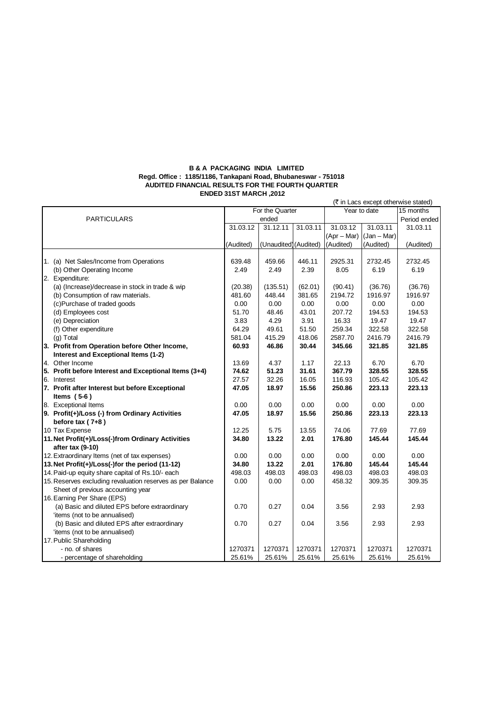## **B & A PACKAGING INDIA LIMITED Regd. Office : 1185/1186, Tankapani Road, Bhubaneswar - 751018 AUDITED FINANCIAL RESULTS FOR THE FOURTH QUARTER ENDED 31ST MARCH ,2012**

|                                   |                                                            |                 |                       |          |               | (₹ in Lacs except otherwise stated) |              |
|-----------------------------------|------------------------------------------------------------|-----------------|-----------------------|----------|---------------|-------------------------------------|--------------|
| <b>PARTICULARS</b>                |                                                            | For the Quarter |                       |          | Year to date  |                                     | 15 months    |
|                                   |                                                            | ended           |                       |          |               |                                     | Period ended |
|                                   |                                                            | 31.03.12        | 31.12.11              | 31.03.11 | 31.03.12      | 31.03.11                            | 31.03.11     |
|                                   |                                                            |                 |                       |          | $(Apr - Mar)$ | $(Jan - Mar)$                       |              |
|                                   |                                                            | (Audited)       | (Unaudited) (Audited) |          | (Audited)     | (Audited)                           | (Audited)    |
|                                   |                                                            |                 |                       |          |               |                                     |              |
|                                   | 1. (a) Net Sales/Income from Operations                    | 639.48          | 459.66                | 446.11   | 2925.31       | 2732.45                             | 2732.45      |
| (b) Other Operating Income        |                                                            | 2.49            | 2.49                  | 2.39     | 8.05          | 6.19                                | 6.19         |
| 2. Expenditure:                   |                                                            |                 |                       |          |               |                                     |              |
|                                   | (a) (Increase)/decrease in stock in trade & wip            | (20.38)         | (135.51)              | (62.01)  | (90.41)       | (36.76)                             | (36.76)      |
| (b) Consumption of raw materials. |                                                            | 481.60          | 448.44                | 381.65   | 2194.72       | 1916.97                             | 1916.97      |
| (c)Purchase of traded goods       |                                                            | 0.00            | 0.00                  | 0.00     | 0.00          | 0.00                                | 0.00         |
| (d) Employees cost                |                                                            | 51.70           | 48.46                 | 43.01    | 207.72        | 194.53                              | 194.53       |
| (e) Depreciation                  |                                                            | 3.83            | 4.29                  | 3.91     | 16.33         | 19.47                               | 19.47        |
| (f) Other expenditure             |                                                            | 64.29           | 49.61                 | 51.50    | 259.34        | 322.58                              | 322.58       |
| (g) Total                         |                                                            | 581.04          | 415.29                | 418.06   | 2587.70       | 2416.79                             | 2416.79      |
|                                   | 3. Profit from Operation before Other Income,              | 60.93           | 46.86                 | 30.44    | 345.66        | 321.85                              | 321.85       |
|                                   | Interest and Exceptional Items (1-2)                       |                 |                       |          |               |                                     |              |
| 4. Other Income                   |                                                            | 13.69           | 4.37                  | 1.17     | 22.13         | 6.70                                | 6.70         |
|                                   | 5. Profit before Interest and Exceptional Items (3+4)      | 74.62           | 51.23                 | 31.61    | 367.79        | 328.55                              | 328.55       |
| 6. Interest                       |                                                            | 27.57           | 32.26                 | 16.05    | 116.93        | 105.42                              | 105.42       |
|                                   | 7. Profit after Interest but before Exceptional            | 47.05           | 18.97                 | 15.56    | 250.86        | 223.13                              | 223.13       |
| Items $(5-6)$                     |                                                            |                 |                       |          |               |                                     |              |
| 8. Exceptional Items              |                                                            | 0.00            | 0.00                  | 0.00     | 0.00          | 0.00                                | 0.00         |
|                                   | 9. Profit(+)/Loss (-) from Ordinary Activities             | 47.05           | 18.97                 | 15.56    | 250.86        | 223.13                              | 223.13       |
| before tax $(7+8)$                |                                                            |                 |                       |          |               |                                     |              |
| 10 Tax Expense                    |                                                            | 12.25           | 5.75                  | 13.55    | 74.06         | 77.69                               | 77.69        |
|                                   | 11. Net Profit(+)/Loss(-)from Ordinary Activities          | 34.80           | 13.22                 | 2.01     | 176.80        | 145.44                              | 145.44       |
| after tax (9-10)                  |                                                            |                 |                       |          |               |                                     |              |
|                                   | 12. Extraordinary Items (net of tax expenses)              | 0.00            | 0.00                  | 0.00     | 0.00          | 0.00                                | 0.00         |
|                                   | 13. Net Profit(+)/Loss(-)for the period (11-12)            | 34.80           | 13.22                 | 2.01     | 176.80        | 145.44                              | 145.44       |
|                                   | 14. Paid-up equity share capital of Rs.10/- each           | 498.03          | 498.03                | 498.03   | 498.03        | 498.03                              | 498.03       |
|                                   | 15. Reserves excluding revaluation reserves as per Balance | 0.00            | 0.00                  | 0.00     | 458.32        | 309.35                              | 309.35       |
|                                   | Sheet of previous accounting year                          |                 |                       |          |               |                                     |              |
| 16. Earning Per Share (EPS)       |                                                            |                 |                       |          |               |                                     |              |
|                                   | (a) Basic and diluted EPS before extraordinary             | 0.70            | 0.27                  | 0.04     | 3.56          | 2.93                                | 2.93         |
| 'items (not to be annualised)     |                                                            |                 |                       |          |               |                                     |              |
|                                   | (b) Basic and diluted EPS after extraordinary              | 0.70            | 0.27                  | 0.04     | 3.56          | 2.93                                | 2.93         |
| 'items (not to be annualised)     |                                                            |                 |                       |          |               |                                     |              |
| 17. Public Shareholding           |                                                            |                 |                       |          |               |                                     |              |
| - no. of shares                   |                                                            | 1270371         | 1270371               | 1270371  | 1270371       | 1270371                             | 1270371      |
| - percentage of shareholding      |                                                            | 25.61%          | 25.61%                | 25.61%   | 25.61%        | 25.61%                              | 25.61%       |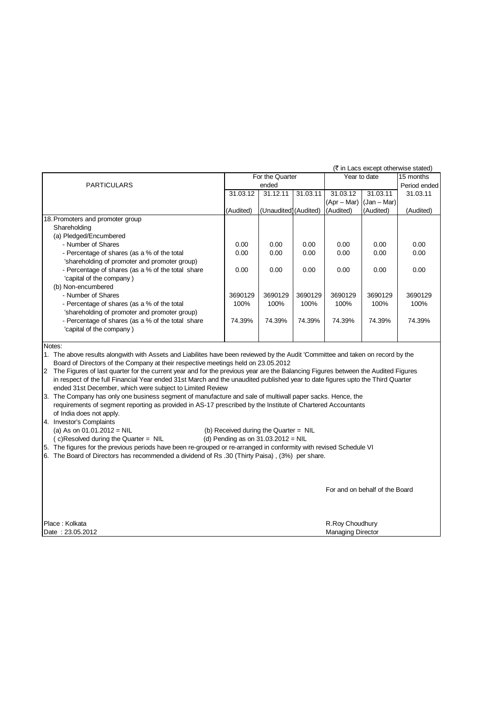|                                                                                                                                 |           |                       |          |                             |              | (₹ in Lacs except otherwise stated) |  |
|---------------------------------------------------------------------------------------------------------------------------------|-----------|-----------------------|----------|-----------------------------|--------------|-------------------------------------|--|
|                                                                                                                                 |           | For the Quarter       |          |                             | Year to date |                                     |  |
| <b>PARTICULARS</b>                                                                                                              |           | ended                 |          |                             |              |                                     |  |
|                                                                                                                                 | 31.03.12  | 31.12.11              | 31.03.11 | 31.03.12                    | 31.03.11     | 31.03.11                            |  |
|                                                                                                                                 |           |                       |          | $(Apr - Mar)$ $(Aan - Mar)$ |              |                                     |  |
|                                                                                                                                 | (Audited) | (Unaudited) (Audited) |          | (Audited)                   | (Audited)    | (Audited)                           |  |
| 18. Promoters and promoter group                                                                                                |           |                       |          |                             |              |                                     |  |
| Shareholding                                                                                                                    |           |                       |          |                             |              |                                     |  |
| (a) Pledged/Encumbered                                                                                                          |           |                       |          |                             |              |                                     |  |
| - Number of Shares                                                                                                              | 0.00      | 0.00                  | 0.00     | 0.00                        | 0.00         | 0.00                                |  |
| - Percentage of shares (as a % of the total                                                                                     | 0.00      | 0.00                  | 0.00     | 0.00                        | 0.00         | 0.00                                |  |
| 'shareholding of promoter and promoter group)                                                                                   |           |                       |          |                             |              |                                     |  |
| - Percentage of shares (as a % of the total share                                                                               | 0.00      | 0.00                  | 0.00     | 0.00                        | 0.00         | 0.00                                |  |
| 'capital of the company)                                                                                                        |           |                       |          |                             |              |                                     |  |
| (b) Non-encumbered                                                                                                              |           |                       |          |                             |              |                                     |  |
| - Number of Shares                                                                                                              | 3690129   | 3690129               | 3690129  | 3690129                     | 3690129      | 3690129                             |  |
| - Percentage of shares (as a % of the total                                                                                     | 100%      | 100%                  | 100%     | 100%                        | 100%         | 100%                                |  |
| 'shareholding of promoter and promoter group)                                                                                   |           |                       |          |                             |              |                                     |  |
| - Percentage of shares (as a % of the total share                                                                               | 74.39%    | 74.39%                | 74.39%   | 74.39%                      | 74.39%       | 74.39%                              |  |
| 'capital of the company)                                                                                                        |           |                       |          |                             |              |                                     |  |
|                                                                                                                                 |           |                       |          |                             |              |                                     |  |
| Notes:                                                                                                                          |           |                       |          |                             |              |                                     |  |
| 1. The above results alongwith with Assets and Liabilites have been reviewed by the Audit 'Committee and taken on record by the |           |                       |          |                             |              |                                     |  |
| Board of Directors of the Company at their respective meetings held on 23.05.2012                                               |           |                       |          |                             |              |                                     |  |

Board of Directors of the Company at their respective meetings held on 23.05.2012

2 The Figures of last quarter for the current year and for the previous year are the Balancing Figures between the Audited Figures in respect of the full Financial Year ended 31st March and the unaudited published year to date figures upto the Third Quarter ended 31st December, which were subject to Limited Review

3. The Company has only one business segment of manufacture and sale of multiwall paper sacks. Hence, the requirements of segment reporting as provided in AS-17 prescribed by the Institute of Chartered Accountants of India does not apply.

4. Investor's Complaints

(a) As on  $01.01.2012 = \text{NIL}$ <br>
(c) Resolved during the Quarter =  $\text{NIL}$ <br>
(d) Pending as on  $31.03.2012 = \text{NIL}$  $(c)$ Resolved during the Quarter = NIL

5. The figures for the previous periods have been re-grouped or re-arranged in conformity with revised Schedule VI

6. The Board of Directors has recommended a dividend of Rs .30 (Thirty Paisa) , (3%) per share.

For and on behalf of the Board

**Date : 23.05.2012** Managing Director

Place : Kolkata R.Roy Choudhury Chouse and The R.Roy Choudhury R.Roy Choudhury